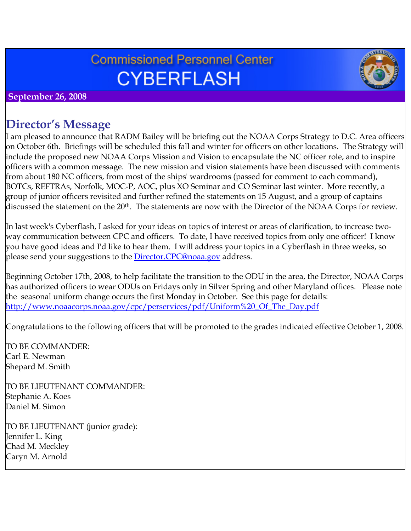# **Commissioned Personnel Center CYBERFLASH**



 **September 26, 2008**

# **Director's Message**

I am pleased to announce that RADM Bailey will be briefing out the NOAA Corps Strategy to D.C. Area officers on October 6th. Briefings will be scheduled this fall and winter for officers on other locations. The Strategy will include the proposed new NOAA Corps Mission and Vision to encapsulate the NC officer role, and to inspire officers with a common message. The new mission and vision statements have been discussed with comments from about 180 NC officers, from most of the ships' wardrooms (passed for comment to each command), BOTCs, REFTRAs, Norfolk, MOC-P, AOC, plus XO Seminar and CO Seminar last winter. More recently, a group of junior officers revisited and further refined the statements on 15 August, and a group of captains discussed the statement on the 20<sup>th</sup>. The statements are now with the Director of the NOAA Corps for review.

In last week's Cyberflash, I asked for your ideas on topics of interest or areas of clarification, to increase twoway communication between CPC and officers. To date, I have received topics from only one officer! I know you have good ideas and I'd like to hear them. I will address your topics in a Cyberflash in three weeks, so please send your suggestions to the *Director.CPC@noaa.gov* address.

Beginning October 17th, 2008, to help facilitate the transition to the ODU in the area, the Director, NOAA Corps has authorized officers to wear ODUs on Fridays only in Silver Spring and other Maryland offices. Please note the seasonal uniform change occurs the first Monday in October. See this page for details: [http://www.noaacorps.noaa.gov/cpc/perservices/pdf/Uniform%20\\_Of\\_The\\_Day.pdf](http://www.noaacorps.noaa.gov/cpc/perservices/pdf/Uniform%20_Of_The_Day.pdf)

Congratulations to the following officers that will be promoted to the grades indicated effective October 1, 2008.

TO BE COMMANDER: Carl E. Newman Shepard M. Smith

TO BE LIEUTENANT COMMANDER: Stephanie A. Koes Daniel M. Simon

TO BE LIEUTENANT (junior grade): Jennifer L. King Chad M. Meckley Caryn M. Arnold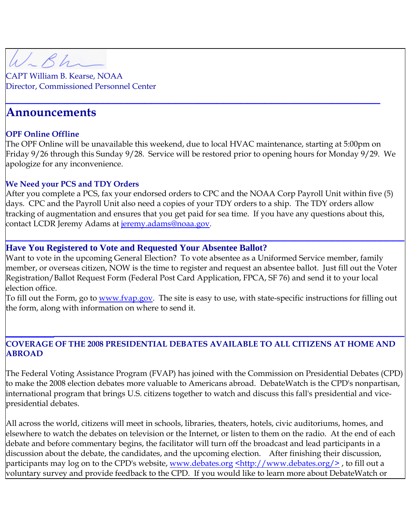W.Bh

CAPT William B. Kearse, NOAA Director, Commissioned Personnel Center

### **Announcements**

#### **OPF Online Offline**

The OPF Online will be unavailable this weekend, due to local HVAC maintenance, starting at 5:00pm on Friday 9/26 through this Sunday 9/28. Service will be restored prior to opening hours for Monday 9/29. We apologize for any inconvenience.

**\_\_\_\_\_\_\_\_\_\_\_\_\_\_\_\_\_\_\_\_\_\_\_\_\_\_\_\_\_\_\_\_\_\_\_\_\_\_\_\_\_\_\_\_\_\_\_\_\_\_\_\_\_\_\_\_\_\_\_\_\_\_**

#### **We Need your PCS and TDY Orders**

After you complete a PCS, fax your endorsed orders to CPC and the NOAA Corp Payroll Unit within five (5) days. CPC and the Payroll Unit also need a copies of your TDY orders to a ship. The TDY orders allow tracking of augmentation and ensures that you get paid for sea time. If you have any questions about this, contact LCDR Jeremy Adams at <u>[jeremy.adams@noaa.gov](mailto:jeremy.adams@noaa.gov)</u>.

#### **Have You Registered to Vote and Requested Your Absentee Ballot?**

Want to vote in the upcoming General Election? To vote absentee as a Uniformed Service member, family member, or overseas citizen, NOW is the time to register and request an absentee ballot. Just fill out the Voter Registration/Ballot Request Form (Federal Post Card Application, FPCA, SF 76) and send it to your local election office.

**\_\_\_\_\_\_\_\_\_\_\_\_\_\_\_\_\_\_\_\_\_\_\_\_\_\_\_\_\_\_\_\_\_\_\_\_\_\_\_\_\_\_\_\_\_\_\_\_\_\_\_\_\_\_\_\_\_\_\_\_\_\_\_\_\_\_**

To fill out the Form, go to <u>www.fvap.gov</u>. The site is easy to use, with state-specific instructions for filling out the form, along with information on where to send it.

### **\_\_\_\_\_\_\_\_\_\_\_\_\_\_\_\_\_\_\_\_\_\_\_\_\_\_\_\_\_\_\_\_\_\_\_\_\_\_\_\_\_\_\_\_\_\_\_\_\_\_\_\_\_\_\_\_\_\_\_\_\_\_\_\_ COVERAGE OF THE 2008 PRESIDENTIAL DEBATES AVAILABLE TO ALL CITIZENS AT HOME AND ABROAD**

The Federal Voting Assistance Program (FVAP) has joined with the Commission on Presidential Debates (CPD) to make the 2008 election debates more valuable to Americans abroad. DebateWatch is the CPD's nonpartisan, international program that brings U.S. citizens together to watch and discuss this fall's presidential and vicepresidential debates.

All across the world, citizens will meet in schools, libraries, theaters, hotels, civic auditoriums, homes, and elsewhere to watch the debates on television or the Internet, or listen to them on the radio. At the end of each debate and before commentary begins, the facilitator will turn off the broadcast and lead participants in a discussion about the debate, the candidates, and the upcoming election. After finishing their discussion, participants may log on to the CPD's website, <u>[www.debates.org](http://www.debates.org/) [<http://www.debates.org/>](http://www.debates.org/)</u>, to fill out a voluntary survey and provide feedback to the CPD. If you would like to learn more about DebateWatch or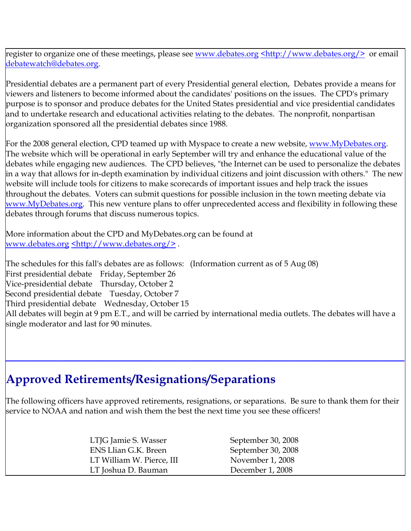register to organize one of these meetings, please see [www.debates.org](http://www.debates.org/) [<http://www.debates.org/>](http://www.debates.org/) or email [debatewatch@debates.org.](mailto:debatewatch@debates.org)

Presidential debates are a permanent part of every Presidential general election, Debates provide a means for viewers and listeners to become informed about the candidates' positions on the issues. The CPD's primary purpose is to sponsor and produce debates for the United States presidential and vice presidential candidates and to undertake research and educational activities relating to the debates. The nonprofit, nonpartisan organization sponsored all the presidential debates since 1988.

For the 2008 general election, CPD teamed up with Myspace to create a new website, [www.MyDebates.org](http://www.mydebates.org/). The website which will be operational in early September will try and enhance the educational value of the debates while engaging new audiences. The CPD believes, "the Internet can be used to personalize the debates in a way that allows for in-depth examination by individual citizens and joint discussion with others." The new website will include tools for citizens to make scorecards of important issues and help track the issues throughout the debates. Voters can submit questions for possible inclusion in the town meeting debate via [www.MyDebates.org](http://www.mydebates.org/). This new venture plans to offer unprecedented access and flexibility in following these debates through forums that discuss numerous topics.

More information about the CPD and MyDebates.org can be found at [www.debates.org](http://www.debates.org/) [<http://www.debates.org/>](http://www.debates.org/) .

The schedules for this fall's debates are as follows: (Information current as of 5 Aug 08) First presidential debate Friday, September 26 Vice-presidential debate Thursday, October 2 Second presidential debate Tuesday, October 7 Third presidential debate Wednesday, October 15 All debates will begin at 9 pm E.T., and will be carried by international media outlets. The debates will have a single moderator and last for 90 minutes.

## **Approved Retirements/Resignations/Separations**

The following officers have approved retirements, resignations, or separations. Be sure to thank them for their service to NOAA and nation and wish them the best the next time you see these officers!

**\_\_\_\_\_\_\_\_\_\_\_\_\_\_\_\_\_\_\_\_\_\_\_\_\_\_\_\_\_\_\_\_\_\_\_\_\_\_\_\_\_\_\_\_\_\_\_\_\_\_\_\_\_\_\_\_\_\_\_\_\_\_\_\_\_\_**

| LTJG Jamie S. Wasser      | September 30, 2008 |
|---------------------------|--------------------|
| ENS Llian G.K. Breen      | September 30, 2008 |
| LT William W. Pierce, III | November 1, 2008   |
| LT Joshua D. Bauman       | December 1, 2008   |